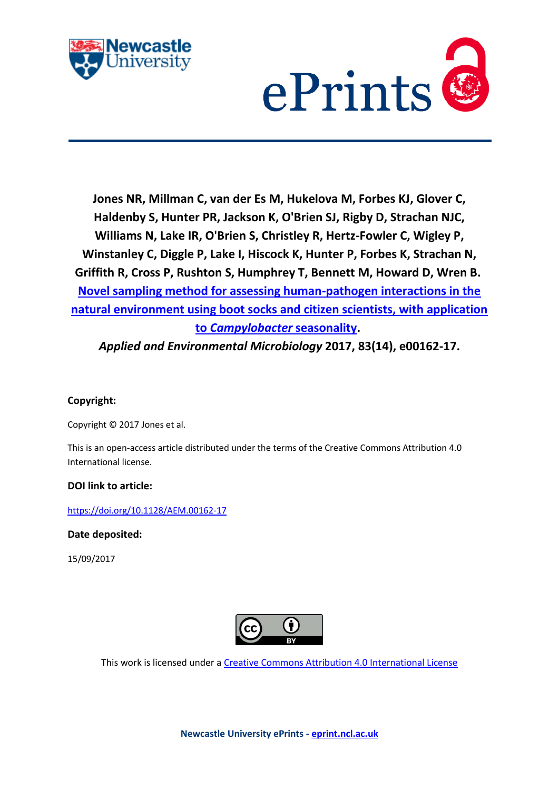



**Jones NR, Millman C, van der Es M, Hukelova M, Forbes KJ, Glover C, Haldenby S, Hunter PR, Jackson K, O'Brien SJ, Rigby D, Strachan NJC, Williams N, Lake IR, O'Brien S, Christley R, Hertz-Fowler C, Wigley P, Winstanley C, Diggle P, Lake I, Hiscock K, Hunter P, Forbes K, Strachan N, Griffith R, Cross P, Rushton S, Humphrey T, Bennett M, Howard D, Wren B. [Novel sampling method for assessing human-pathogen interactions in the](javascript:ViewPublication(239675);)  [natural environment using boot socks and citizen scientists, with application](javascript:ViewPublication(239675);)  to** *[Campylobacter](javascript:ViewPublication(239675);)* **seasonality.**

*Applied and Environmental Microbiology* **2017, 83(14), e00162-17.**

# **Copyright:**

Copyright © 2017 Jones et al.

This is an open-access article distributed under the terms of the Creative Commons Attribution 4.0 International license.

# **DOI link to article:**

<https://doi.org/10.1128/AEM.00162-17>

**Date deposited:** 

15/09/2017



This work is licensed under [a Creative Commons Attribution 4.0 International License](http://creativecommons.org/licenses/by/4.0/)

**Newcastle University ePrints - [eprint.ncl.ac.uk](http://eprint.ncl.ac.uk/)**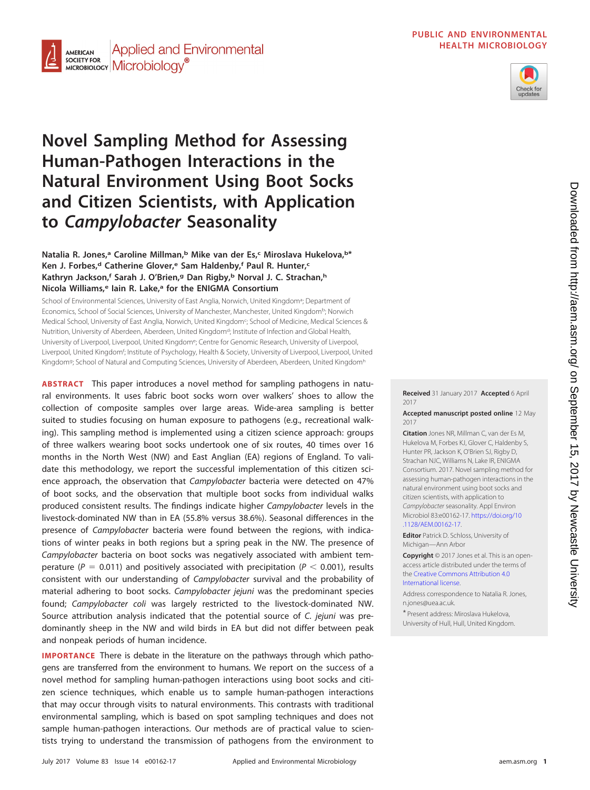**PUBLIC AND ENVIRONMENTAL HEALTH MICROBIOLOGY**



#### **Applied and Environmental AMERICAN SOCIETY FOR SOCIETY FOR** Microbiology<sup>®</sup>

# **Novel Sampling Method for Assessing Human-Pathogen Interactions in the Natural Environment Using Boot Socks and Citizen Scientists, with Application to Campylobacter Seasonality**

# **Natalia R. Jones,<sup>a</sup> Caroline Millman,<sup>b</sup> Mike van der Es,<sup>c</sup> Miroslava Hukelova,<sup>b\*</sup>** Ken J. Forbes,<sup>d</sup> Catherine Glover,<sup>e</sup> Sam Haldenby,<sup>f</sup> Paul R. Hunter,<sup>c</sup> **Kathryn Jackson,f Sarah J. O'Brien,g Dan Rigby,b Norval J. C. Strachan,h Nicola Williams,e Iain R. Lake,a for the ENIGMA Consortium**

School of Environmental Sciences, University of East Anglia, Norwich, United Kingdom<sup>a</sup>; Department of Economics, School of Social Sciences, University of Manchester, Manchester, United Kingdomb; Norwich Medical School, University of East Anglia, Norwich, United Kingdom<sup>c</sup>; School of Medicine, Medical Sciences & Nutrition, University of Aberdeen, Aberdeen, United Kingdom<sup>d</sup>; Institute of Infection and Global Health, University of Liverpool, Liverpool, United Kingdome; Centre for Genomic Research, University of Liverpool, Liverpool, United Kingdom<sup>f</sup>; Institute of Psychology, Health & Society, University of Liverpool, Liverpool, United Kingdom<sup>g</sup>; School of Natural and Computing Sciences, University of Aberdeen, Aberdeen, United Kingdom<sup>h</sup>

**ABSTRACT** This paper introduces a novel method for sampling pathogens in natural environments. It uses fabric boot socks worn over walkers' shoes to allow the collection of composite samples over large areas. Wide-area sampling is better suited to studies focusing on human exposure to pathogens (e.g., recreational walking). This sampling method is implemented using a citizen science approach: groups of three walkers wearing boot socks undertook one of six routes, 40 times over 16 months in the North West (NW) and East Anglian (EA) regions of England. To validate this methodology, we report the successful implementation of this citizen science approach, the observation that Campylobacter bacteria were detected on 47% of boot socks, and the observation that multiple boot socks from individual walks produced consistent results. The findings indicate higher Campylobacter levels in the livestock-dominated NW than in EA (55.8% versus 38.6%). Seasonal differences in the presence of Campylobacter bacteria were found between the regions, with indications of winter peaks in both regions but a spring peak in the NW. The presence of Campylobacter bacteria on boot socks was negatively associated with ambient temperature ( $P = 0.011$ ) and positively associated with precipitation ( $P < 0.001$ ), results consistent with our understanding of Campylobacter survival and the probability of material adhering to boot socks. Campylobacter jejuni was the predominant species found; Campylobacter coli was largely restricted to the livestock-dominated NW. Source attribution analysis indicated that the potential source of C. jejuni was predominantly sheep in the NW and wild birds in EA but did not differ between peak and nonpeak periods of human incidence.

**IMPORTANCE** There is debate in the literature on the pathways through which pathogens are transferred from the environment to humans. We report on the success of a novel method for sampling human-pathogen interactions using boot socks and citizen science techniques, which enable us to sample human-pathogen interactions that may occur through visits to natural environments. This contrasts with traditional environmental sampling, which is based on spot sampling techniques and does not sample human-pathogen interactions. Our methods are of practical value to scientists trying to understand the transmission of pathogens from the environment to

**Received** 31 January 2017 **Accepted** 6 April 2017

#### **Accepted manuscript posted online** 12 May 2017

**Citation** Jones NR, Millman C, van der Es M, Hukelova M, Forbes KJ, Glover C, Haldenby S, Hunter PR, Jackson K, O'Brien SJ, Rigby D, Strachan NJC, Williams N, Lake IR, ENIGMA Consortium. 2017. Novel sampling method for assessing human-pathogen interactions in the natural environment using boot socks and citizen scientists, with application to Campylobacter seasonality. Appl Environ Microbiol 83:e00162-17. [https://doi.org/10](https://doi.org/10.1128/AEM.00162-17) [.1128/AEM.00162-17.](https://doi.org/10.1128/AEM.00162-17)

**Editor** Patrick D. Schloss, University of Michigan—Ann Arbor

**Copyright** © 2017 Jones et al. This is an openaccess article distributed under the terms of the [Creative Commons Attribution 4.0](https://creativecommons.org/licenses/by/4.0/) [International](https://creativecommons.org/licenses/by/4.0/) license.

Address correspondence to Natalia R. Jones, [n.jones@uea.ac.uk.](mailto:n.jones@uea.ac.uk)

\* Present address: Miroslava Hukelova, University of Hull, Hull, United Kingdom.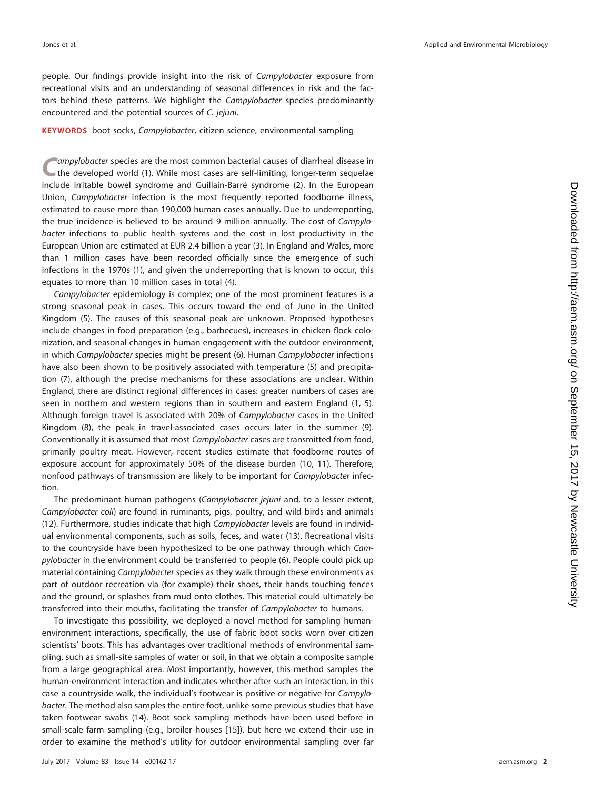people. Our findings provide insight into the risk of Campylobacter exposure from recreational visits and an understanding of seasonal differences in risk and the factors behind these patterns. We highlight the Campylobacter species predominantly encountered and the potential sources of C. jejuni.

#### **KEYWORDS** boot socks, Campylobacter, citizen science, environmental sampling

ampylobacter species are the most common bacterial causes of diarrheal disease in the developed world [\(1\)](#page-11-0). While most cases are self-limiting, longer-term sequelae include irritable bowel syndrome and Guillain-Barré syndrome [\(2\)](#page-11-1). In the European Union, Campylobacter infection is the most frequently reported foodborne illness, estimated to cause more than 190,000 human cases annually. Due to underreporting, the true incidence is believed to be around 9 million annually. The cost of Campylobacter infections to public health systems and the cost in lost productivity in the European Union are estimated at EUR 2.4 billion a year [\(3\)](#page-11-2). In England and Wales, more than 1 million cases have been recorded officially since the emergence of such infections in the 1970s [\(1\)](#page-11-0), and given the underreporting that is known to occur, this equates to more than 10 million cases in total [\(4\)](#page-11-3).

Campylobacter epidemiology is complex; one of the most prominent features is a strong seasonal peak in cases. This occurs toward the end of June in the United Kingdom [\(5\)](#page-11-4). The causes of this seasonal peak are unknown. Proposed hypotheses include changes in food preparation (e.g., barbecues), increases in chicken flock colonization, and seasonal changes in human engagement with the outdoor environment, in which Campylobacter species might be present [\(6\)](#page-11-5). Human Campylobacter infections have also been shown to be positively associated with temperature [\(5\)](#page-11-4) and precipitation [\(7\)](#page-11-6), although the precise mechanisms for these associations are unclear. Within England, there are distinct regional differences in cases: greater numbers of cases are seen in northern and western regions than in southern and eastern England [\(1,](#page-11-0) [5\)](#page-11-4). Although foreign travel is associated with 20% of Campylobacter cases in the United Kingdom [\(8\)](#page-11-7), the peak in travel-associated cases occurs later in the summer [\(9\)](#page-11-8). Conventionally it is assumed that most Campylobacter cases are transmitted from food, primarily poultry meat. However, recent studies estimate that foodborne routes of exposure account for approximately 50% of the disease burden [\(10,](#page-12-0) [11\)](#page-12-1). Therefore, nonfood pathways of transmission are likely to be important for Campylobacter infection.

The predominant human pathogens (Campylobacter jejuni and, to a lesser extent, Campylobacter coli) are found in ruminants, pigs, poultry, and wild birds and animals [\(12\)](#page-12-2). Furthermore, studies indicate that high Campylobacter levels are found in individual environmental components, such as soils, feces, and water [\(13\)](#page-12-3). Recreational visits to the countryside have been hypothesized to be one pathway through which Campylobacter in the environment could be transferred to people [\(6\)](#page-11-5). People could pick up material containing Campylobacter species as they walk through these environments as part of outdoor recreation via (for example) their shoes, their hands touching fences and the ground, or splashes from mud onto clothes. This material could ultimately be transferred into their mouths, facilitating the transfer of Campylobacter to humans.

To investigate this possibility, we deployed a novel method for sampling humanenvironment interactions, specifically, the use of fabric boot socks worn over citizen scientists' boots. This has advantages over traditional methods of environmental sampling, such as small-site samples of water or soil, in that we obtain a composite sample from a large geographical area. Most importantly, however, this method samples the human-environment interaction and indicates whether after such an interaction, in this case a countryside walk, the individual's footwear is positive or negative for Campylobacter. The method also samples the entire foot, unlike some previous studies that have taken footwear swabs [\(14\)](#page-12-4). Boot sock sampling methods have been used before in small-scale farm sampling (e.g., broiler houses [\[15\]](#page-12-5)), but here we extend their use in order to examine the method's utility for outdoor environmental sampling over far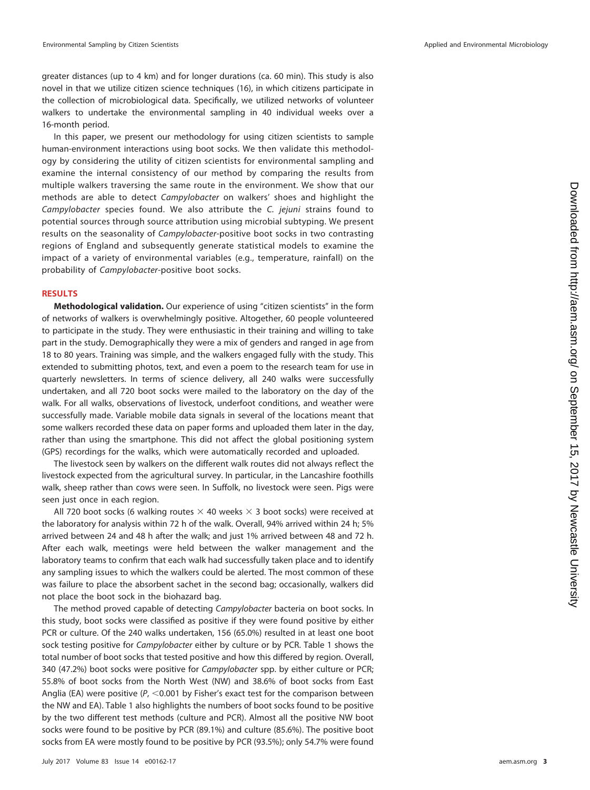greater distances (up to 4 km) and for longer durations (ca. 60 min). This study is also novel in that we utilize citizen science techniques [\(16\)](#page-12-6), in which citizens participate in the collection of microbiological data. Specifically, we utilized networks of volunteer walkers to undertake the environmental sampling in 40 individual weeks over a 16-month period.

In this paper, we present our methodology for using citizen scientists to sample human-environment interactions using boot socks. We then validate this methodology by considering the utility of citizen scientists for environmental sampling and examine the internal consistency of our method by comparing the results from multiple walkers traversing the same route in the environment. We show that our methods are able to detect Campylobacter on walkers' shoes and highlight the Campylobacter species found. We also attribute the C. jejuni strains found to potential sources through source attribution using microbial subtyping. We present results on the seasonality of Campylobacter-positive boot socks in two contrasting regions of England and subsequently generate statistical models to examine the impact of a variety of environmental variables (e.g., temperature, rainfall) on the probability of Campylobacter-positive boot socks.

## **RESULTS**

**Methodological validation.** Our experience of using "citizen scientists" in the form of networks of walkers is overwhelmingly positive. Altogether, 60 people volunteered to participate in the study. They were enthusiastic in their training and willing to take part in the study. Demographically they were a mix of genders and ranged in age from 18 to 80 years. Training was simple, and the walkers engaged fully with the study. This extended to submitting photos, text, and even a poem to the research team for use in quarterly newsletters. In terms of science delivery, all 240 walks were successfully undertaken, and all 720 boot socks were mailed to the laboratory on the day of the walk. For all walks, observations of livestock, underfoot conditions, and weather were successfully made. Variable mobile data signals in several of the locations meant that some walkers recorded these data on paper forms and uploaded them later in the day, rather than using the smartphone. This did not affect the global positioning system (GPS) recordings for the walks, which were automatically recorded and uploaded.

The livestock seen by walkers on the different walk routes did not always reflect the livestock expected from the agricultural survey. In particular, in the Lancashire foothills walk, sheep rather than cows were seen. In Suffolk, no livestock were seen. Pigs were seen just once in each region.

All 720 boot socks (6 walking routes  $\times$  40 weeks  $\times$  3 boot socks) were received at the laboratory for analysis within 72 h of the walk. Overall, 94% arrived within 24 h; 5% arrived between 24 and 48 h after the walk; and just 1% arrived between 48 and 72 h. After each walk, meetings were held between the walker management and the laboratory teams to confirm that each walk had successfully taken place and to identify any sampling issues to which the walkers could be alerted. The most common of these was failure to place the absorbent sachet in the second bag; occasionally, walkers did not place the boot sock in the biohazard bag.

The method proved capable of detecting Campylobacter bacteria on boot socks. In this study, boot socks were classified as positive if they were found positive by either PCR or culture. Of the 240 walks undertaken, 156 (65.0%) resulted in at least one boot sock testing positive for *Campylobacter* either by culture or by PCR. [Table 1](#page-4-0) shows the total number of boot socks that tested positive and how this differed by region. Overall, 340 (47.2%) boot socks were positive for Campylobacter spp. by either culture or PCR; 55.8% of boot socks from the North West (NW) and 38.6% of boot socks from East Anglia (EA) were positive ( $P$ , <0.001 by Fisher's exact test for the comparison between the NW and EA). [Table 1](#page-4-0) also highlights the numbers of boot socks found to be positive by the two different test methods (culture and PCR). Almost all the positive NW boot socks were found to be positive by PCR (89.1%) and culture (85.6%). The positive boot socks from EA were mostly found to be positive by PCR (93.5%); only 54.7% were found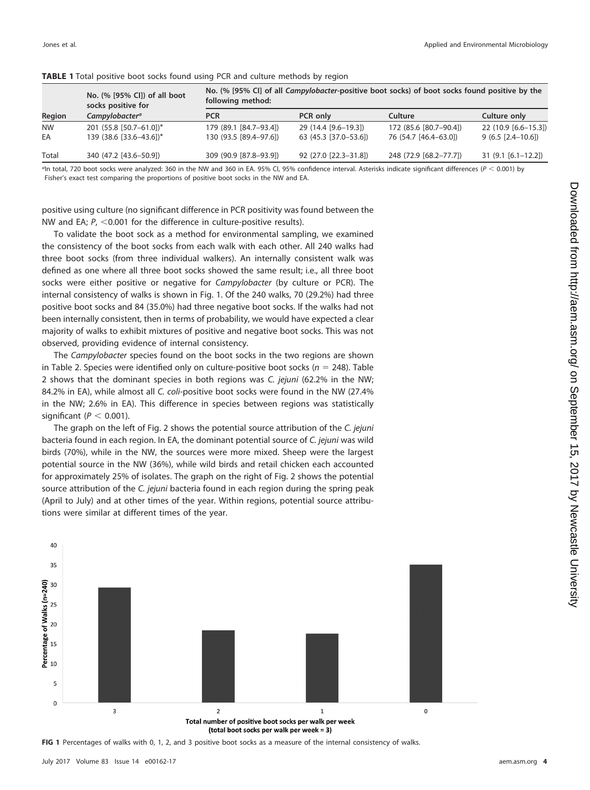| Region    | No. (% [95% CI]) of all boot<br>socks positive for<br>Campylobacter <sup>a</sup> | No. (% [95% CI] of all Campylobacter-positive boot socks) of boot socks found positive by the<br>following method: |                       |                        |                      |  |  |
|-----------|----------------------------------------------------------------------------------|--------------------------------------------------------------------------------------------------------------------|-----------------------|------------------------|----------------------|--|--|
|           |                                                                                  | <b>PCR</b>                                                                                                         | <b>PCR only</b>       | Culture                | Culture only         |  |  |
| <b>NW</b> | 201 (55.8 [50.7-61.0])*                                                          | 179 (89.1 [84.7-93.4])                                                                                             | 29 (14.4 [9.6-19.3])  | 172 (85.6 [80.7-90.4]) | 22 (10.9 [6.6-15.3]) |  |  |
| EA        | 139 (38.6 [33.6-43.6])*                                                          | 130 (93.5 [89.4-97.6])                                                                                             | 63 (45.3 [37.0-53.6]) | 76 (54.7 [46.4–63.0])  | $9(6.5 [2.4-10.6])$  |  |  |
| Total     | 340 (47.2 [43.6-50.9])                                                           | 309 (90.9 [87.8-93.9])                                                                                             | 92 (27.0 [22.3-31.8]) | 248 (72.9 [68.2-77.7]) | $31(9.1[6.1-12.2])$  |  |  |

# <span id="page-4-0"></span>**TABLE 1** Total positive boot socks found using PCR and culture methods by region

<sup>q</sup>In total, 720 boot socks were analyzed: 360 in the NW and 360 in EA. 95% CI, 95% confidence interval. Asterisks indicate significant differences ( $P < 0.001$ ) by Fisher's exact test comparing the proportions of positive boot socks in the NW and EA.

positive using culture (no significant difference in PCR positivity was found between the NW and EA;  $P_1 < 0.001$  for the difference in culture-positive results).

To validate the boot sock as a method for environmental sampling, we examined the consistency of the boot socks from each walk with each other. All 240 walks had three boot socks (from three individual walkers). An internally consistent walk was defined as one where all three boot socks showed the same result; i.e., all three boot socks were either positive or negative for Campylobacter (by culture or PCR). The internal consistency of walks is shown in [Fig. 1.](#page-4-1) Of the 240 walks, 70 (29.2%) had three positive boot socks and 84 (35.0%) had three negative boot socks. If the walks had not been internally consistent, then in terms of probability, we would have expected a clear majority of walks to exhibit mixtures of positive and negative boot socks. This was not observed, providing evidence of internal consistency.

The Campylobacter species found on the boot socks in the two regions are shown in [Table 2.](#page-5-0) Species were identified only on culture-positive boot socks ( $n = 248$ ). [Table](#page-5-0) [2](#page-5-0) shows that the dominant species in both regions was C. jejuni (62.2% in the NW; 84.2% in EA), while almost all C. coli-positive boot socks were found in the NW (27.4% in the NW; 2.6% in EA). This difference in species between regions was statistically significant ( $P < 0.001$ ).

The graph on the left of [Fig. 2](#page-5-1) shows the potential source attribution of the C. jejuni bacteria found in each region. In EA, the dominant potential source of C. jejuni was wild birds (70%), while in the NW, the sources were more mixed. Sheep were the largest potential source in the NW (36%), while wild birds and retail chicken each accounted for approximately 25% of isolates. The graph on the right of [Fig. 2](#page-5-1) shows the potential source attribution of the C. jejuni bacteria found in each region during the spring peak (April to July) and at other times of the year. Within regions, potential source attributions were similar at different times of the year.



<span id="page-4-1"></span>**FIG 1** Percentages of walks with 0, 1, 2, and 3 positive boot socks as a measure of the internal consistency of walks.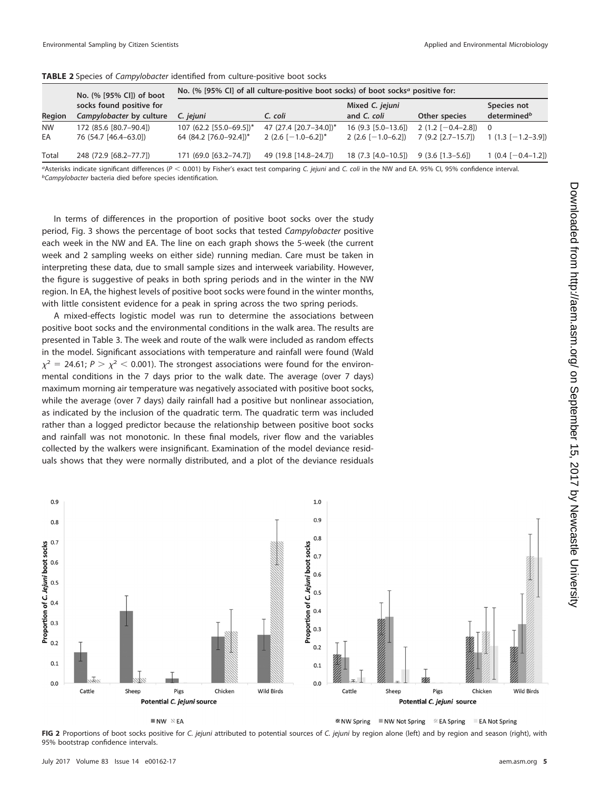|                 | No. (% [95% CI]) of boot<br>socks found positive for<br>Campylobacter by culture | No. (% [95% CI] of all culture-positive boot socks) of boot socks <sup><math>a</math></sup> positive for: |                                                 |                                             |                                             |                                        |  |
|-----------------|----------------------------------------------------------------------------------|-----------------------------------------------------------------------------------------------------------|-------------------------------------------------|---------------------------------------------|---------------------------------------------|----------------------------------------|--|
| Region          |                                                                                  | C. jejuni                                                                                                 | C. coli                                         | Mixed C. jejuni<br>and C. coli              | Other species                               | Species not<br>determined <sup>b</sup> |  |
| <b>NW</b><br>EA | 172 (85.6 [80.7-90.4])<br>76 (54.7 [46.4-63.0])                                  | 107 (62.2 [55.0-69.5])*<br>64 (84.2 [76.0-92.4])*                                                         | 47 (27.4 [20.7-34.0])*<br>2 $(2.6$ [-1.0-6.2])* | $16(9.3 [5.0-13.6])$<br>$2(2.6$ [-1.0-6.2]) | $2(1.2[-0.4-2.8])$ 0<br>$7(9.2 [2.7-15.7])$ | $1(1.3[-1.2-3.9])$                     |  |
| <b>Total</b>    | 248 (72.9 [68.2-77.7])                                                           | 171 (69.0 [63.2-74.7])                                                                                    | 49 (19.8 [14.8-24.7])                           | 18 (7.3 [4.0-10.5])                         | $9(3.6[1.3-5.6])$                           | $1(0.4[-0.4-1.2])$                     |  |

<span id="page-5-0"></span>**TABLE 2** Species of Campylobacter identified from culture-positive boot socks

 $a_4$ Sterisks indicate significant differences (P < 0.001) by Fisher's exact test comparing C. jejuni and C. coli in the NW and EA. 95% CI, 95% confidence interval. *bCampylobacter* bacteria died before species identification.

In terms of differences in the proportion of positive boot socks over the study period, [Fig. 3](#page-6-0) shows the percentage of boot socks that tested Campylobacter positive each week in the NW and EA. The line on each graph shows the 5-week (the current week and 2 sampling weeks on either side) running median. Care must be taken in interpreting these data, due to small sample sizes and interweek variability. However, the figure is suggestive of peaks in both spring periods and in the winter in the NW region. In EA, the highest levels of positive boot socks were found in the winter months, with little consistent evidence for a peak in spring across the two spring periods.

A mixed-effects logistic model was run to determine the associations between positive boot socks and the environmental conditions in the walk area. The results are presented in [Table 3.](#page-6-1) The week and route of the walk were included as random effects in the model. Significant associations with temperature and rainfall were found (Wald  $\chi^2 = 24.61; P > \chi^2 < 0.001$ ). The strongest associations were found for the environmental conditions in the 7 days prior to the walk date. The average (over 7 days) maximum morning air temperature was negatively associated with positive boot socks, while the average (over 7 days) daily rainfall had a positive but nonlinear association, as indicated by the inclusion of the quadratic term. The quadratic term was included rather than a logged predictor because the relationship between positive boot socks and rainfall was not monotonic. In these final models, river flow and the variables collected by the walkers were insignificant. Examination of the model deviance residuals shows that they were normally distributed, and a plot of the deviance residuals



 $N$  NW  $\Re$  EA

 **& NW Spring ■ NW Not Spring & EA Spring EA Not Spring** 

<span id="page-5-1"></span>FIG 2 Proportions of boot socks positive for C. jejuni attributed to potential sources of C. jejuni by region alone (left) and by region and season (right), with 95% bootstrap confidence intervals.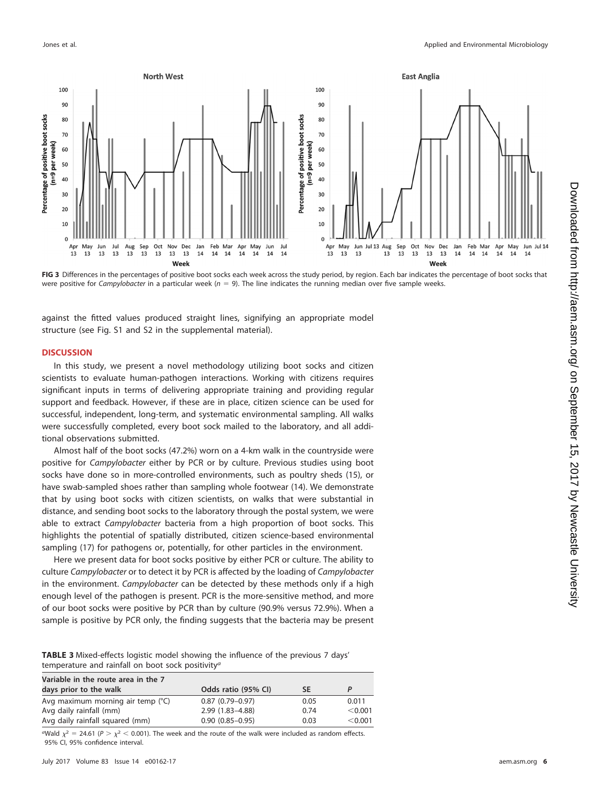

<span id="page-6-0"></span>**FIG 3** Differences in the percentages of positive boot socks each week across the study period, by region. Each bar indicates the percentage of boot socks that were positive for Campylobacter in a particular week ( $n = 9$ ). The line indicates the running median over five sample weeks.

against the fitted values produced straight lines, signifying an appropriate model structure (see Fig. S1 and S2 in the supplemental material).

### **DISCUSSION**

In this study, we present a novel methodology utilizing boot socks and citizen scientists to evaluate human-pathogen interactions. Working with citizens requires significant inputs in terms of delivering appropriate training and providing regular support and feedback. However, if these are in place, citizen science can be used for successful, independent, long-term, and systematic environmental sampling. All walks were successfully completed, every boot sock mailed to the laboratory, and all additional observations submitted.

Almost half of the boot socks (47.2%) worn on a 4-km walk in the countryside were positive for Campylobacter either by PCR or by culture. Previous studies using boot socks have done so in more-controlled environments, such as poultry sheds [\(15\)](#page-12-5), or have swab-sampled shoes rather than sampling whole footwear [\(14\)](#page-12-4). We demonstrate that by using boot socks with citizen scientists, on walks that were substantial in distance, and sending boot socks to the laboratory through the postal system, we were able to extract Campylobacter bacteria from a high proportion of boot socks. This highlights the potential of spatially distributed, citizen science-based environmental sampling [\(17\)](#page-12-7) for pathogens or, potentially, for other particles in the environment.

Here we present data for boot socks positive by either PCR or culture. The ability to culture Campylobacter or to detect it by PCR is affected by the loading of Campylobacter in the environment. Campylobacter can be detected by these methods only if a high enough level of the pathogen is present. PCR is the more-sensitive method, and more of our boot socks were positive by PCR than by culture (90.9% versus 72.9%). When a sample is positive by PCR only, the finding suggests that the bacteria may be present

<span id="page-6-1"></span>**TABLE 3** Mixed-effects logistic model showing the influence of the previous 7 days' temperature and rainfall on boot sock positivity<sup>a</sup>

| Variable in the route area in the 7 |                     |           |         |  |  |  |
|-------------------------------------|---------------------|-----------|---------|--|--|--|
| days prior to the walk              | Odds ratio (95% CI) | <b>SE</b> |         |  |  |  |
| Avg maximum morning air temp (°C)   | $0.87(0.79 - 0.97)$ | 0.05      | 0.011   |  |  |  |
| Avg daily rainfall (mm)             | $2.99(1.83 - 4.88)$ | 0.74      | < 0.001 |  |  |  |
| Avg daily rainfall squared (mm)     | $0.90(0.85 - 0.95)$ | 0.03      | < 0.001 |  |  |  |

<sup>a</sup>Wald  $\chi^2 = 24.61$  (P  $> \chi^2 < 0.001$ ). The week and the route of the walk were included as random effects. 95% CI, 95% confidence interval.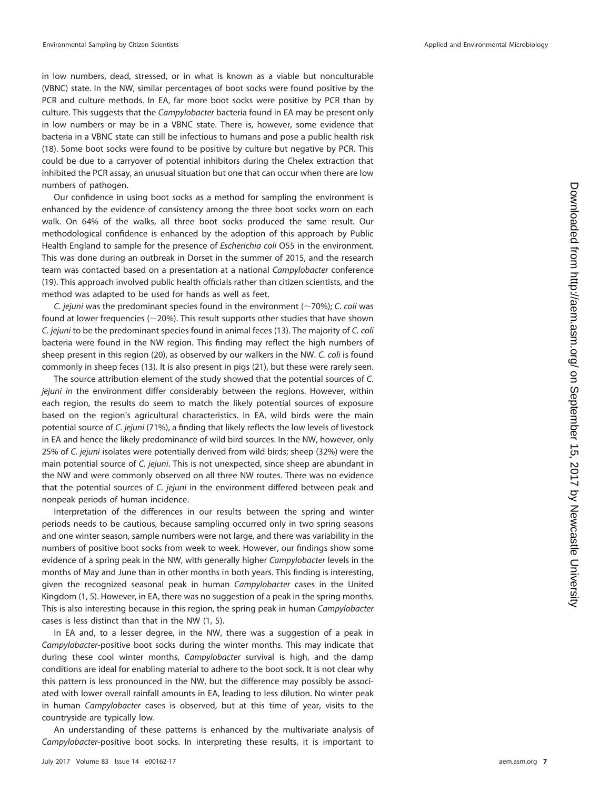in low numbers, dead, stressed, or in what is known as a viable but nonculturable (VBNC) state. In the NW, similar percentages of boot socks were found positive by the PCR and culture methods. In EA, far more boot socks were positive by PCR than by culture. This suggests that the *Campylobacter* bacteria found in EA may be present only in low numbers or may be in a VBNC state. There is, however, some evidence that bacteria in a VBNC state can still be infectious to humans and pose a public health risk [\(18\)](#page-12-8). Some boot socks were found to be positive by culture but negative by PCR. This could be due to a carryover of potential inhibitors during the Chelex extraction that inhibited the PCR assay, an unusual situation but one that can occur when there are low numbers of pathogen.

Our confidence in using boot socks as a method for sampling the environment is enhanced by the evidence of consistency among the three boot socks worn on each walk. On 64% of the walks, all three boot socks produced the same result. Our methodological confidence is enhanced by the adoption of this approach by Public Health England to sample for the presence of Escherichia coli O55 in the environment. This was done during an outbreak in Dorset in the summer of 2015, and the research team was contacted based on a presentation at a national Campylobacter conference [\(19\)](#page-12-9). This approach involved public health officials rather than citizen scientists, and the method was adapted to be used for hands as well as feet.

C. jejuni was the predominant species found in the environment ( $\sim$ 70%); C. coli was found at lower frequencies ( $\sim$ 20%). This result supports other studies that have shown C. jejuni to be the predominant species found in animal feces [\(13\)](#page-12-3). The majority of C. coli bacteria were found in the NW region. This finding may reflect the high numbers of sheep present in this region [\(20\)](#page-12-10), as observed by our walkers in the NW. C. coli is found commonly in sheep feces [\(13\)](#page-12-3). It is also present in pigs [\(21\)](#page-12-11), but these were rarely seen.

The source attribution element of the study showed that the potential sources of C. jejuni in the environment differ considerably between the regions. However, within each region, the results do seem to match the likely potential sources of exposure based on the region's agricultural characteristics. In EA, wild birds were the main potential source of C. jejuni (71%), a finding that likely reflects the low levels of livestock in EA and hence the likely predominance of wild bird sources. In the NW, however, only 25% of C. jejuni isolates were potentially derived from wild birds; sheep (32%) were the main potential source of C. jejuni. This is not unexpected, since sheep are abundant in the NW and were commonly observed on all three NW routes. There was no evidence that the potential sources of C. jejuni in the environment differed between peak and nonpeak periods of human incidence.

Interpretation of the differences in our results between the spring and winter periods needs to be cautious, because sampling occurred only in two spring seasons and one winter season, sample numbers were not large, and there was variability in the numbers of positive boot socks from week to week. However, our findings show some evidence of a spring peak in the NW, with generally higher Campylobacter levels in the months of May and June than in other months in both years. This finding is interesting, given the recognized seasonal peak in human Campylobacter cases in the United Kingdom [\(1,](#page-11-0) [5\)](#page-11-4). However, in EA, there was no suggestion of a peak in the spring months. This is also interesting because in this region, the spring peak in human Campylobacter cases is less distinct than that in the NW [\(1,](#page-11-0) [5\)](#page-11-4).

In EA and, to a lesser degree, in the NW, there was a suggestion of a peak in Campylobacter-positive boot socks during the winter months. This may indicate that during these cool winter months, Campylobacter survival is high, and the damp conditions are ideal for enabling material to adhere to the boot sock. It is not clear why this pattern is less pronounced in the NW, but the difference may possibly be associated with lower overall rainfall amounts in EA, leading to less dilution. No winter peak in human Campylobacter cases is observed, but at this time of year, visits to the countryside are typically low.

An understanding of these patterns is enhanced by the multivariate analysis of Campylobacter-positive boot socks. In interpreting these results, it is important to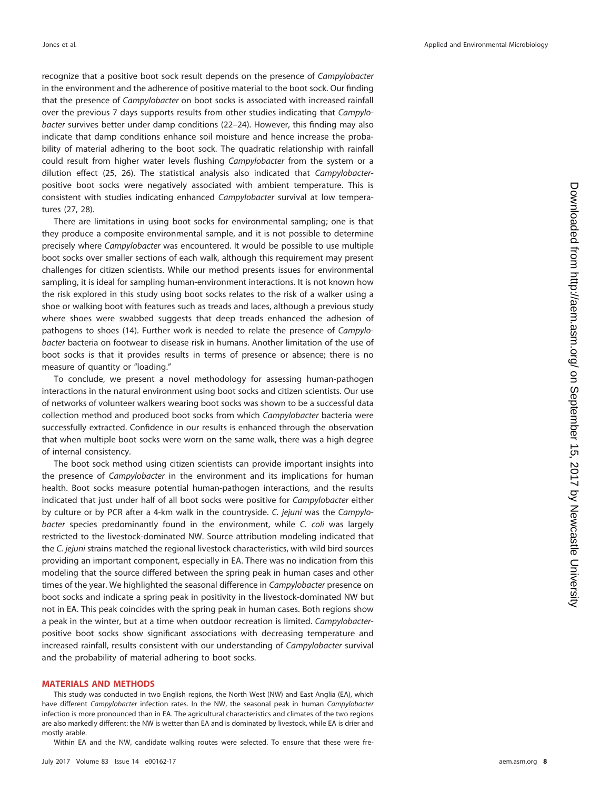recognize that a positive boot sock result depends on the presence of Campylobacter in the environment and the adherence of positive material to the boot sock. Our finding that the presence of Campylobacter on boot socks is associated with increased rainfall over the previous 7 days supports results from other studies indicating that Campylobacter survives better under damp conditions [\(22](#page-12-12)[–](#page-12-13)[24\)](#page-12-14). However, this finding may also indicate that damp conditions enhance soil moisture and hence increase the probability of material adhering to the boot sock. The quadratic relationship with rainfall could result from higher water levels flushing Campylobacter from the system or a dilution effect [\(25,](#page-12-15) [26\)](#page-12-16). The statistical analysis also indicated that Campylobacterpositive boot socks were negatively associated with ambient temperature. This is consistent with studies indicating enhanced Campylobacter survival at low temperatures [\(27,](#page-12-17) [28\)](#page-12-18).

There are limitations in using boot socks for environmental sampling; one is that they produce a composite environmental sample, and it is not possible to determine precisely where Campylobacter was encountered. It would be possible to use multiple boot socks over smaller sections of each walk, although this requirement may present challenges for citizen scientists. While our method presents issues for environmental sampling, it is ideal for sampling human-environment interactions. It is not known how the risk explored in this study using boot socks relates to the risk of a walker using a shoe or walking boot with features such as treads and laces, although a previous study where shoes were swabbed suggests that deep treads enhanced the adhesion of pathogens to shoes [\(14\)](#page-12-4). Further work is needed to relate the presence of Campylobacter bacteria on footwear to disease risk in humans. Another limitation of the use of boot socks is that it provides results in terms of presence or absence; there is no measure of quantity or "loading."

To conclude, we present a novel methodology for assessing human-pathogen interactions in the natural environment using boot socks and citizen scientists. Our use of networks of volunteer walkers wearing boot socks was shown to be a successful data collection method and produced boot socks from which Campylobacter bacteria were successfully extracted. Confidence in our results is enhanced through the observation that when multiple boot socks were worn on the same walk, there was a high degree of internal consistency.

The boot sock method using citizen scientists can provide important insights into the presence of Campylobacter in the environment and its implications for human health. Boot socks measure potential human-pathogen interactions, and the results indicated that just under half of all boot socks were positive for Campylobacter either by culture or by PCR after a 4-km walk in the countryside. C. jejuni was the Campylobacter species predominantly found in the environment, while C. coli was largely restricted to the livestock-dominated NW. Source attribution modeling indicated that the C. jejuni strains matched the regional livestock characteristics, with wild bird sources providing an important component, especially in EA. There was no indication from this modeling that the source differed between the spring peak in human cases and other times of the year. We highlighted the seasonal difference in Campylobacter presence on boot socks and indicate a spring peak in positivity in the livestock-dominated NW but not in EA. This peak coincides with the spring peak in human cases. Both regions show a peak in the winter, but at a time when outdoor recreation is limited. Campylobacterpositive boot socks show significant associations with decreasing temperature and increased rainfall, results consistent with our understanding of Campylobacter survival and the probability of material adhering to boot socks.

#### **MATERIALS AND METHODS**

This study was conducted in two English regions, the North West (NW) and East Anglia (EA), which have different Campylobacter infection rates. In the NW, the seasonal peak in human Campylobacter infection is more pronounced than in EA. The agricultural characteristics and climates of the two regions are also markedly different: the NW is wetter than EA and is dominated by livestock, while EA is drier and mostly arable.

Within EA and the NW, candidate walking routes were selected. To ensure that these were fre-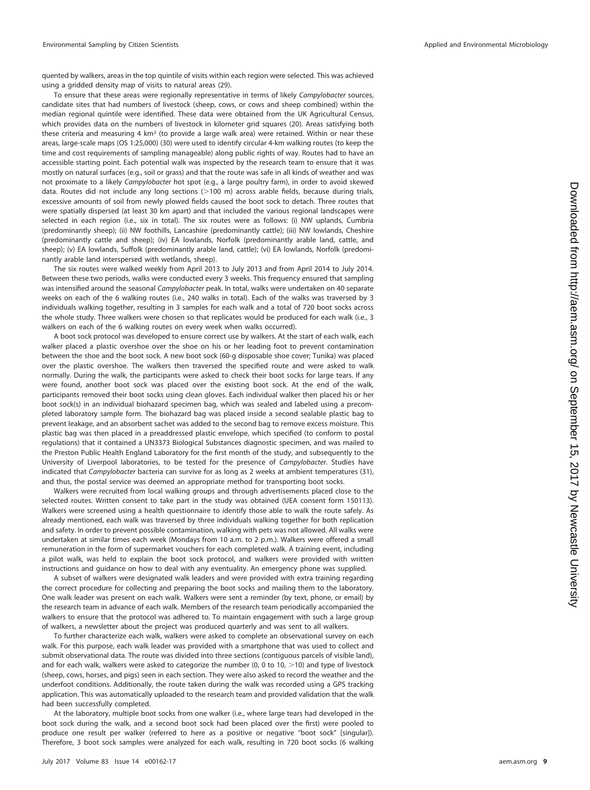quented by walkers, areas in the top quintile of visits within each region were selected. This was achieved using a gridded density map of visits to natural areas [\(29\)](#page-12-19).

To ensure that these areas were regionally representative in terms of likely Campylobacter sources, candidate sites that had numbers of livestock (sheep, cows, or cows and sheep combined) within the median regional quintile were identified. These data were obtained from the UK Agricultural Census, which provides data on the numbers of livestock in kilometer grid squares [\(20\)](#page-12-10). Areas satisfying both these criteria and measuring 4  $km^2$  (to provide a large walk area) were retained. Within or near these areas, large-scale maps (OS 1:25,000) [\(30\)](#page-12-20) were used to identify circular 4-km walking routes (to keep the time and cost requirements of sampling manageable) along public rights of way. Routes had to have an accessible starting point. Each potential walk was inspected by the research team to ensure that it was mostly on natural surfaces (e.g., soil or grass) and that the route was safe in all kinds of weather and was not proximate to a likely Campylobacter hot spot (e.g., a large poultry farm), in order to avoid skewed data. Routes did not include any long sections (>100 m) across arable fields, because during trials, excessive amounts of soil from newly plowed fields caused the boot sock to detach. Three routes that were spatially dispersed (at least 30 km apart) and that included the various regional landscapes were selected in each region (i.e., six in total). The six routes were as follows: (i) NW uplands, Cumbria (predominantly sheep); (ii) NW foothills, Lancashire (predominantly cattle); (iii) NW lowlands, Cheshire (predominantly cattle and sheep); (iv) EA lowlands, Norfolk (predominantly arable land, cattle, and sheep); (v) EA lowlands, Suffolk (predominantly arable land, cattle); (vi) EA lowlands, Norfolk (predominantly arable land interspersed with wetlands, sheep).

The six routes were walked weekly from April 2013 to July 2013 and from April 2014 to July 2014. Between these two periods, walks were conducted every 3 weeks. This frequency ensured that sampling was intensified around the seasonal Campylobacter peak. In total, walks were undertaken on 40 separate weeks on each of the 6 walking routes (i.e., 240 walks in total). Each of the walks was traversed by 3 individuals walking together, resulting in 3 samples for each walk and a total of 720 boot socks across the whole study. Three walkers were chosen so that replicates would be produced for each walk (i.e., 3 walkers on each of the 6 walking routes on every week when walks occurred).

A boot sock protocol was developed to ensure correct use by walkers. At the start of each walk, each walker placed a plastic overshoe over the shoe on his or her leading foot to prevent contamination between the shoe and the boot sock. A new boot sock (60-g disposable shoe cover; Tunika) was placed over the plastic overshoe. The walkers then traversed the specified route and were asked to walk normally. During the walk, the participants were asked to check their boot socks for large tears. If any were found, another boot sock was placed over the existing boot sock. At the end of the walk, participants removed their boot socks using clean gloves. Each individual walker then placed his or her boot sock(s) in an individual biohazard specimen bag, which was sealed and labeled using a precompleted laboratory sample form. The biohazard bag was placed inside a second sealable plastic bag to prevent leakage, and an absorbent sachet was added to the second bag to remove excess moisture. This plastic bag was then placed in a preaddressed plastic envelope, which specified (to conform to postal regulations) that it contained a UN3373 Biological Substances diagnostic specimen, and was mailed to the Preston Public Health England Laboratory for the first month of the study, and subsequently to the University of Liverpool laboratories, to be tested for the presence of Campylobacter. Studies have indicated that Campylobacter bacteria can survive for as long as 2 weeks at ambient temperatures [\(31\)](#page-12-21), and thus, the postal service was deemed an appropriate method for transporting boot socks.

Walkers were recruited from local walking groups and through advertisements placed close to the selected routes. Written consent to take part in the study was obtained (UEA consent form 150113). Walkers were screened using a health questionnaire to identify those able to walk the route safely. As already mentioned, each walk was traversed by three individuals walking together for both replication and safety. In order to prevent possible contamination, walking with pets was not allowed. All walks were undertaken at similar times each week (Mondays from 10 a.m. to 2 p.m.). Walkers were offered a small remuneration in the form of supermarket vouchers for each completed walk. A training event, including a pilot walk, was held to explain the boot sock protocol, and walkers were provided with written instructions and guidance on how to deal with any eventuality. An emergency phone was supplied.

A subset of walkers were designated walk leaders and were provided with extra training regarding the correct procedure for collecting and preparing the boot socks and mailing them to the laboratory. One walk leader was present on each walk. Walkers were sent a reminder (by text, phone, or email) by the research team in advance of each walk. Members of the research team periodically accompanied the walkers to ensure that the protocol was adhered to. To maintain engagement with such a large group of walkers, a newsletter about the project was produced quarterly and was sent to all walkers.

To further characterize each walk, walkers were asked to complete an observational survey on each walk. For this purpose, each walk leader was provided with a smartphone that was used to collect and submit observational data. The route was divided into three sections (contiguous parcels of visible land), and for each walk, walkers were asked to categorize the number (0, 0 to 10,  $>$  10) and type of livestock (sheep, cows, horses, and pigs) seen in each section. They were also asked to record the weather and the underfoot conditions. Additionally, the route taken during the walk was recorded using a GPS tracking application. This was automatically uploaded to the research team and provided validation that the walk had been successfully completed.

At the laboratory, multiple boot socks from one walker (i.e., where large tears had developed in the boot sock during the walk, and a second boot sock had been placed over the first) were pooled to produce one result per walker (referred to here as a positive or negative "boot sock" [singular]). Therefore, 3 boot sock samples were analyzed for each walk, resulting in 720 boot socks (6 walking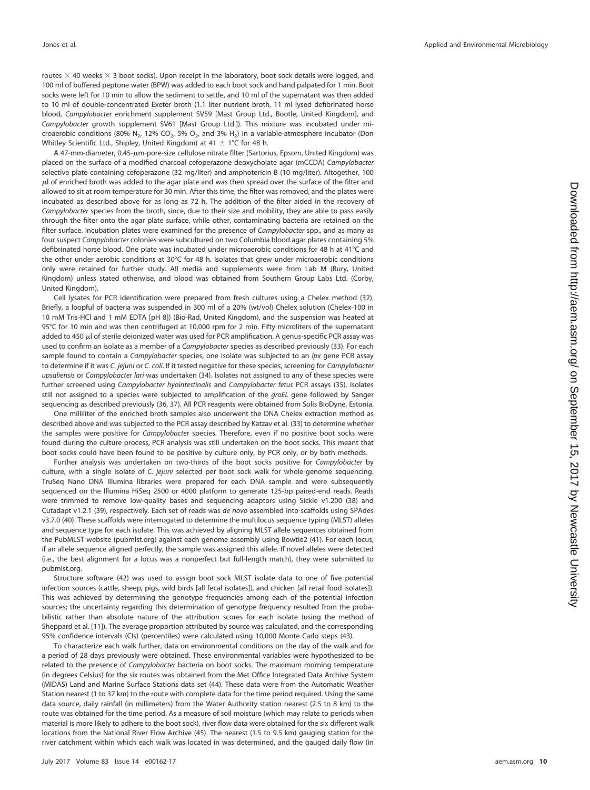routes  $\times$  40 weeks  $\times$  3 boot socks). Upon receipt in the laboratory, boot sock details were logged, and 100 ml of buffered peptone water (BPW) was added to each boot sock and hand palpated for 1 min. Boot socks were left for 10 min to allow the sediment to settle, and 10 ml of the supernatant was then added to 10 ml of double-concentrated Exeter broth (1.1 liter nutrient broth, 11 ml lysed defibrinated horse blood, Campylobacter enrichment supplement SV59 [Mast Group Ltd., Bootle, United Kingdom], and Campylobacter growth supplement SV61 [Mast Group Ltd.]). This mixture was incubated under microaerobic conditions (80% N<sub>2</sub>, 12% CO<sub>2</sub>, 5% O<sub>2</sub>, and 3% H<sub>2</sub>) in a variable-atmosphere incubator (Don Whitley Scientific Ltd., Shipley, United Kingdom) at 41  $\pm$  1°C for 48 h.

A 47-mm-diameter, 0.45-µm-pore-size cellulose nitrate filter (Sartorius, Epsom, United Kingdom) was placed on the surface of a modified charcoal cefoperazone deoxycholate agar (mCCDA) Campylobacter selective plate containing cefoperazone (32 mg/liter) and amphotericin B (10 mg/liter). Altogether, 100  $\mu$ l of enriched broth was added to the agar plate and was then spread over the surface of the filter and allowed to sit at room temperature for 30 min. After this time, the filter was removed, and the plates were incubated as described above for as long as 72 h. The addition of the filter aided in the recovery of Campylobacter species from the broth, since, due to their size and mobility, they are able to pass easily through the filter onto the agar plate surface, while other, contaminating bacteria are retained on the filter surface. Incubation plates were examined for the presence of Campylobacter spp., and as many as four suspect Campylobacter colonies were subcultured on two Columbia blood agar plates containing 5% defibrinated horse blood. One plate was incubated under microaerobic conditions for 48 h at 41°C and the other under aerobic conditions at 30°C for 48 h. Isolates that grew under microaerobic conditions only were retained for further study. All media and supplements were from Lab M (Bury, United Kingdom) unless stated otherwise, and blood was obtained from Southern Group Labs Ltd. (Corby, United Kingdom).

Cell lysates for PCR identification were prepared from fresh cultures using a Chelex method [\(32\)](#page-12-22). Briefly, a loopful of bacteria was suspended in 300 ml of a 20% (wt/vol) Chelex solution (Chelex-100 in 10 mM Tris-HCl and 1 mM EDTA [pH 8]) (Bio-Rad, United Kingdom), and the suspension was heated at 95°C for 10 min and was then centrifuged at 10,000 rpm for 2 min. Fifty microliters of the supernatant added to 450  $\mu$  of sterile deionized water was used for PCR amplification. A genus-specific PCR assay was used to confirm an isolate as a member of a Campylobacter species as described previously [\(33\)](#page-12-23). For each sample found to contain a *Campylobacter* species, one isolate was subjected to an *lpx* gene PCR assay to determine if it was C. jejuni or C. coli. If it tested negative for these species, screening for Campylobacter upsaliensis or Campylobacter lari was undertaken [\(34\)](#page-12-24). Isolates not assigned to any of these species were further screened using Campylobacter hyointestinalis and Campylobacter fetus PCR assays [\(35\)](#page-12-25). Isolates still not assigned to a species were subjected to amplification of the groEL gene followed by Sanger sequencing as described previously [\(36,](#page-12-26) [37\)](#page-12-27). All PCR reagents were obtained from Solis BioDyne, Estonia.

One milliliter of the enriched broth samples also underwent the DNA Chelex extraction method as described above and was subjected to the PCR assay described by Katzav et al. [\(33\)](#page-12-23) to determine whether the samples were positive for Campylobacter species. Therefore, even if no positive boot socks were found during the culture process, PCR analysis was still undertaken on the boot socks. This meant that boot socks could have been found to be positive by culture only, by PCR only, or by both methods.

Further analysis was undertaken on two-thirds of the boot socks positive for Campylobacter by culture, with a single isolate of C. *jejuni* selected per boot sock walk for whole-genome sequencing. TruSeq Nano DNA Illumina libraries were prepared for each DNA sample and were subsequently sequenced on the Illumina HiSeq 2500 or 4000 platform to generate 125-bp paired-end reads. Reads were trimmed to remove low-quality bases and sequencing adaptors using Sickle v1.200 [\(38\)](#page-12-28) and Cutadapt v1.2.1 [\(39\)](#page-12-29), respectively. Each set of reads was de novo assembled into scaffolds using SPAdes v3.7.0 [\(40\)](#page-12-30). These scaffolds were interrogated to determine the multilocus sequence typing (MLST) alleles and sequence type for each isolate. This was achieved by aligning MLST allele sequences obtained from the PubMLST website (pubmlst.org) against each genome assembly using Bowtie2 [\(41\)](#page-12-31). For each locus, if an allele sequence aligned perfectly, the sample was assigned this allele. If novel alleles were detected (i.e., the best alignment for a locus was a nonperfect but full-length match), they were submitted to pubmlst.org.

Structure software [\(42\)](#page-12-32) was used to assign boot sock MLST isolate data to one of five potential infection sources (cattle, sheep, pigs, wild birds [all fecal isolates]), and chicken [all retail food isolates]). This was achieved by determining the genotype frequencies among each of the potential infection sources; the uncertainty regarding this determination of genotype frequency resulted from the probabilistic rather than absolute nature of the attribution scores for each isolate (using the method of Sheppard et al. [\[11\]](#page-12-1)). The average proportion attributed by source was calculated, and the corresponding 95% confidence intervals (CIs) (percentiles) were calculated using 10,000 Monte Carlo steps [\(43\)](#page-12-33).

To characterize each walk further, data on environmental conditions on the day of the walk and for a period of 28 days previously were obtained. These environmental variables were hypothesized to be related to the presence of Campylobacter bacteria on boot socks. The maximum morning temperature (in degrees Celsius) for the six routes was obtained from the Met Office Integrated Data Archive System (MIDAS) Land and Marine Surface Stations data set [\(44\)](#page-12-34). These data were from the Automatic Weather Station nearest (1 to 37 km) to the route with complete data for the time period required. Using the same data source, daily rainfall (in millimeters) from the Water Authority station nearest (2.5 to 8 km) to the route was obtained for the time period. As a measure of soil moisture (which may relate to periods when material is more likely to adhere to the boot sock), river flow data were obtained for the six different walk locations from the National River Flow Archive [\(45\)](#page-12-35). The nearest (1.5 to 9.5 km) gauging station for the river catchment within which each walk was located in was determined, and the gauged daily flow (in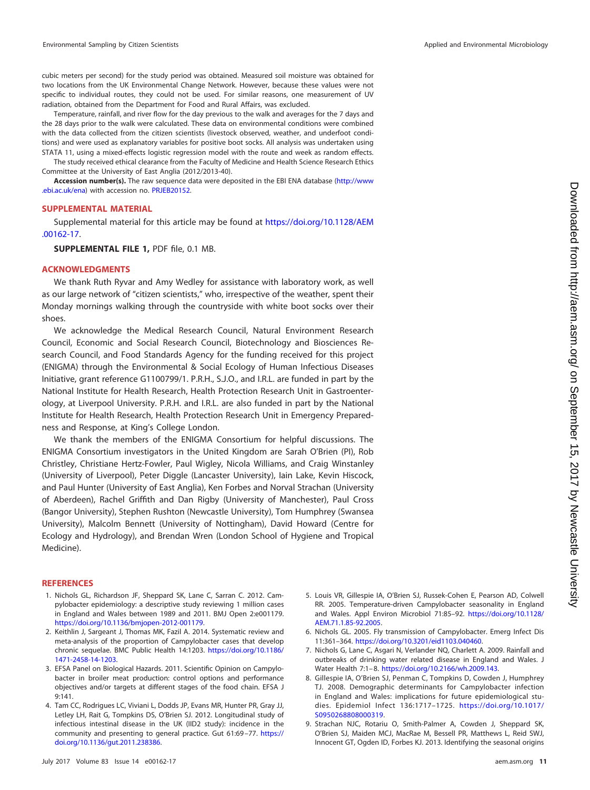cubic meters per second) for the study period was obtained. Measured soil moisture was obtained for two locations from the UK Environmental Change Network. However, because these values were not specific to individual routes, they could not be used. For similar reasons, one measurement of UV radiation, obtained from the Department for Food and Rural Affairs, was excluded.

Temperature, rainfall, and river flow for the day previous to the walk and averages for the 7 days and the 28 days prior to the walk were calculated. These data on environmental conditions were combined with the data collected from the citizen scientists (livestock observed, weather, and underfoot conditions) and were used as explanatory variables for positive boot socks. All analysis was undertaken using STATA 11, using a mixed-effects logistic regression model with the route and week as random effects.

The study received ethical clearance from the Faculty of Medicine and Health Science Research Ethics Committee at the University of East Anglia (2012/2013-40).

**Accession number(s).** The raw sequence data were deposited in the EBI ENA database [\(http://www](http://www.ebi.ac.uk/ena) [.ebi.ac.uk/ena\)](http://www.ebi.ac.uk/ena) with accession no. [PRJEB20152.](http://www.ebi.ac.uk/ena/data/search?query=PRJEB20152)

## **SUPPLEMENTAL MATERIAL**

Supplemental material for this article may be found at [https://doi.org/10.1128/AEM](https://doi.org/10.1128/AEM.00162-17) [.00162-17.](https://doi.org/10.1128/AEM.00162-17)

**SUPPLEMENTAL FILE 1,** PDF file, 0.1 MB.

## **ACKNOWLEDGMENTS**

We thank Ruth Ryvar and Amy Wedley for assistance with laboratory work, as well as our large network of "citizen scientists," who, irrespective of the weather, spent their Monday mornings walking through the countryside with white boot socks over their shoes.

We acknowledge the Medical Research Council, Natural Environment Research Council, Economic and Social Research Council, Biotechnology and Biosciences Research Council, and Food Standards Agency for the funding received for this project (ENIGMA) through the Environmental & Social Ecology of Human Infectious Diseases Initiative, grant reference G1100799/1. P.R.H., S.J.O., and I.R.L. are funded in part by the National Institute for Health Research, Health Protection Research Unit in Gastroenterology, at Liverpool University. P.R.H. and I.R.L. are also funded in part by the National Institute for Health Research, Health Protection Research Unit in Emergency Preparedness and Response, at King's College London.

We thank the members of the ENIGMA Consortium for helpful discussions. The ENIGMA Consortium investigators in the United Kingdom are Sarah O'Brien (PI), Rob Christley, Christiane Hertz-Fowler, Paul Wigley, Nicola Williams, and Craig Winstanley (University of Liverpool), Peter Diggle (Lancaster University), Iain Lake, Kevin Hiscock, and Paul Hunter (University of East Anglia), Ken Forbes and Norval Strachan (University of Aberdeen), Rachel Griffith and Dan Rigby (University of Manchester), Paul Cross (Bangor University), Stephen Rushton (Newcastle University), Tom Humphrey (Swansea University), Malcolm Bennett (University of Nottingham), David Howard (Centre for Ecology and Hydrology), and Brendan Wren (London School of Hygiene and Tropical Medicine).

#### <span id="page-11-0"></span>**REFERENCES**

- 1. Nichols GL, Richardson JF, Sheppard SK, Lane C, Sarran C. 2012. Campylobacter epidemiology: a descriptive study reviewing 1 million cases in England and Wales between 1989 and 2011. BMJ Open 2:e001179. [https://doi.org/10.1136/bmjopen-2012-001179.](https://doi.org/10.1136/bmjopen-2012-001179)
- <span id="page-11-1"></span>2. Keithlin J, Sargeant J, Thomas MK, Fazil A. 2014. Systematic review and meta-analysis of the proportion of Campylobacter cases that develop chronic sequelae. BMC Public Health 14:1203. [https://doi.org/10.1186/](https://doi.org/10.1186/1471-2458-14-1203) [1471-2458-14-1203.](https://doi.org/10.1186/1471-2458-14-1203)
- <span id="page-11-2"></span>3. EFSA Panel on Biological Hazards. 2011. Scientific Opinion on Campylobacter in broiler meat production: control options and performance objectives and/or targets at different stages of the food chain. EFSA J 9:141.
- <span id="page-11-3"></span>4. Tam CC, Rodrigues LC, Viviani L, Dodds JP, Evans MR, Hunter PR, Gray JJ, Letley LH, Rait G, Tompkins DS, O'Brien SJ. 2012. Longitudinal study of infectious intestinal disease in the UK (IID2 study): incidence in the community and presenting to general practice. Gut 61:69 –77. [https://](https://doi.org/10.1136/gut.2011.238386) [doi.org/10.1136/gut.2011.238386.](https://doi.org/10.1136/gut.2011.238386)
- <span id="page-11-4"></span>5. Louis VR, Gillespie IA, O'Brien SJ, Russek-Cohen E, Pearson AD, Colwell RR. 2005. Temperature-driven Campylobacter seasonality in England and Wales. Appl Environ Microbiol 71:85–92. [https://doi.org/10.1128/](https://doi.org/10.1128/AEM.71.1.85-92.2005) [AEM.71.1.85-92.2005.](https://doi.org/10.1128/AEM.71.1.85-92.2005)
- <span id="page-11-6"></span><span id="page-11-5"></span>6. Nichols GL. 2005. Fly transmission of Campylobacter. Emerg Infect Dis 11:361–364. [https://doi.org/10.3201/eid1103.040460.](https://doi.org/10.3201/eid1103.040460)
- <span id="page-11-7"></span>7. Nichols G, Lane C, Asgari N, Verlander NQ, Charlett A. 2009. Rainfall and outbreaks of drinking water related disease in England and Wales. J Water Health 7:1– 8. [https://doi.org/10.2166/wh.2009.143.](https://doi.org/10.2166/wh.2009.143)
- 8. Gillespie IA, O'Brien SJ, Penman C, Tompkins D, Cowden J, Humphrey TJ. 2008. Demographic determinants for Campylobacter infection in England and Wales: implications for future epidemiological studies. Epidemiol Infect 136:1717–1725. [https://doi.org/10.1017/](https://doi.org/10.1017/S0950268808000319) [S0950268808000319.](https://doi.org/10.1017/S0950268808000319)
- <span id="page-11-8"></span>9. Strachan NJC, Rotariu O, Smith-Palmer A, Cowden J, Sheppard SK, O'Brien SJ, Maiden MCJ, MacRae M, Bessell PR, Matthews L, Reid SWJ, Innocent GT, Ogden ID, Forbes KJ. 2013. Identifying the seasonal origins